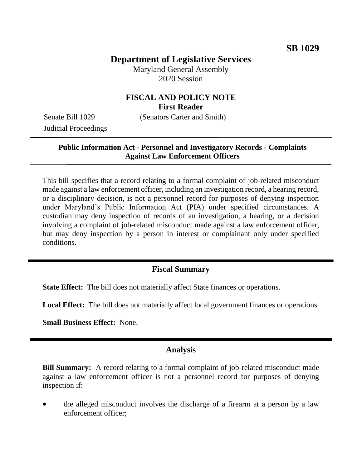# **Department of Legislative Services**

Maryland General Assembly 2020 Session

# **FISCAL AND POLICY NOTE First Reader**

Judicial Proceedings

Senate Bill 1029 (Senators Carter and Smith)

## **Public Information Act - Personnel and Investigatory Records - Complaints Against Law Enforcement Officers**

This bill specifies that a record relating to a formal complaint of job-related misconduct made against a law enforcement officer, including an investigation record, a hearing record, or a disciplinary decision, is not a personnel record for purposes of denying inspection under Maryland's Public Information Act (PIA) under specified circumstances. A custodian may deny inspection of records of an investigation, a hearing, or a decision involving a complaint of job-related misconduct made against a law enforcement officer, but may deny inspection by a person in interest or complainant only under specified conditions.

## **Fiscal Summary**

**State Effect:** The bill does not materially affect State finances or operations.

**Local Effect:** The bill does not materially affect local government finances or operations.

**Small Business Effect:** None.

### **Analysis**

**Bill Summary:** A record relating to a formal complaint of job-related misconduct made against a law enforcement officer is not a personnel record for purposes of denying inspection if:

 the alleged misconduct involves the discharge of a firearm at a person by a law enforcement officer;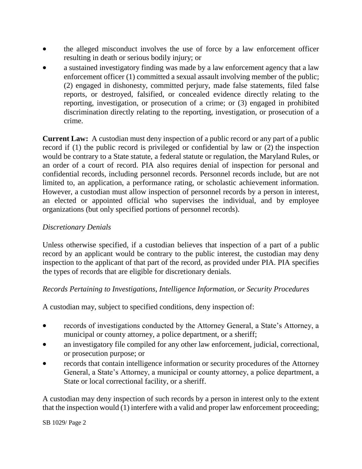- the alleged misconduct involves the use of force by a law enforcement officer resulting in death or serious bodily injury; or
- a sustained investigatory finding was made by a law enforcement agency that a law enforcement officer (1) committed a sexual assault involving member of the public; (2) engaged in dishonesty, committed perjury, made false statements, filed false reports, or destroyed, falsified, or concealed evidence directly relating to the reporting, investigation, or prosecution of a crime; or (3) engaged in prohibited discrimination directly relating to the reporting, investigation, or prosecution of a crime.

**Current Law:** A custodian must deny inspection of a public record or any part of a public record if (1) the public record is privileged or confidential by law or (2) the inspection would be contrary to a State statute, a federal statute or regulation, the Maryland Rules, or an order of a court of record. PIA also requires denial of inspection for personal and confidential records, including personnel records. Personnel records include, but are not limited to, an application, a performance rating, or scholastic achievement information. However, a custodian must allow inspection of personnel records by a person in interest, an elected or appointed official who supervises the individual, and by employee organizations (but only specified portions of personnel records).

### *Discretionary Denials*

Unless otherwise specified, if a custodian believes that inspection of a part of a public record by an applicant would be contrary to the public interest, the custodian may deny inspection to the applicant of that part of the record, as provided under PIA. PIA specifies the types of records that are eligible for discretionary denials.

#### *Records Pertaining to Investigations, Intelligence Information, or Security Procedures*

A custodian may, subject to specified conditions, deny inspection of:

- records of investigations conducted by the Attorney General, a State's Attorney, a municipal or county attorney, a police department, or a sheriff;
- an investigatory file compiled for any other law enforcement, judicial, correctional, or prosecution purpose; or
- records that contain intelligence information or security procedures of the Attorney General, a State's Attorney, a municipal or county attorney, a police department, a State or local correctional facility, or a sheriff.

A custodian may deny inspection of such records by a person in interest only to the extent that the inspection would (1) interfere with a valid and proper law enforcement proceeding;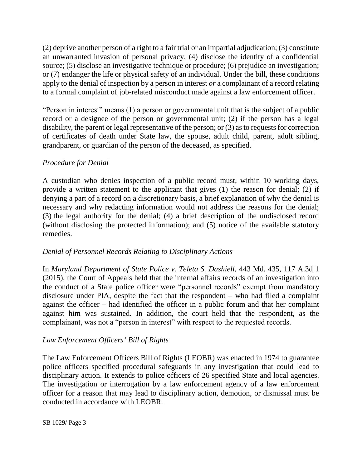(2) deprive another person of a right to a fair trial or an impartial adjudication; (3) constitute an unwarranted invasion of personal privacy; (4) disclose the identity of a confidential source; (5) disclose an investigative technique or procedure; (6) prejudice an investigation; or (7) endanger the life or physical safety of an individual. Under the bill, these conditions apply to the denial of inspection by a person in interest *or* a complainant of a record relating to a formal complaint of job-related misconduct made against a law enforcement officer.

"Person in interest" means (1) a person or governmental unit that is the subject of a public record or a designee of the person or governmental unit; (2) if the person has a legal disability, the parent or legal representative of the person; or (3) as to requests for correction of certificates of death under State law, the spouse, adult child, parent, adult sibling, grandparent, or guardian of the person of the deceased, as specified.

# *Procedure for Denial*

A custodian who denies inspection of a public record must, within 10 working days, provide a written statement to the applicant that gives (1) the reason for denial; (2) if denying a part of a record on a discretionary basis, a brief explanation of why the denial is necessary and why redacting information would not address the reasons for the denial; (3) the legal authority for the denial; (4) a brief description of the undisclosed record (without disclosing the protected information); and (5) notice of the available statutory remedies.

### *Denial of Personnel Records Relating to Disciplinary Actions*

In *Maryland Department of State Police v. Teleta S. Dashiell,* 443 Md. 435, 117 A.3d 1 (2015), the Court of Appeals held that the internal affairs records of an investigation into the conduct of a State police officer were "personnel records" exempt from mandatory disclosure under PIA, despite the fact that the respondent – who had filed a complaint against the officer – had identified the officer in a public forum and that her complaint against him was sustained*.* In addition, the court held that the respondent, as the complainant, was not a "person in interest" with respect to the requested records.

# *Law Enforcement Officers' Bill of Rights*

The Law Enforcement Officers Bill of Rights (LEOBR) was enacted in 1974 to guarantee police officers specified procedural safeguards in any investigation that could lead to disciplinary action. It extends to police officers of 26 specified State and local agencies. The investigation or interrogation by a law enforcement agency of a law enforcement officer for a reason that may lead to disciplinary action, demotion, or dismissal must be conducted in accordance with LEOBR.